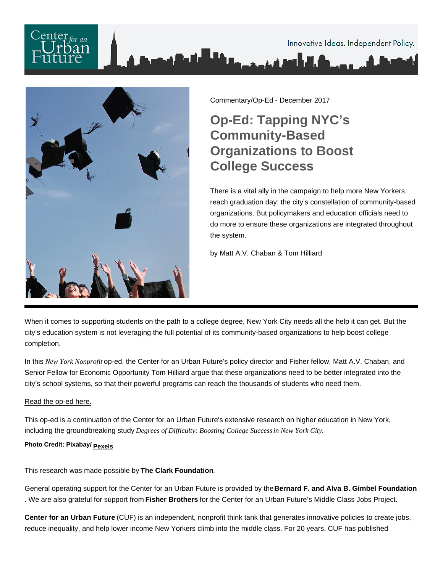

Commentary/Op-Ed - December 2017

## Op-Ed: Tapping NYC's Community-Based Organizations to Boost College Success

There is a vital ally in the campaign to help more New Yorkers reach graduation day: the city's constellation of community-based organizations. But policymakers and education officials need to do more to ensure these organizations are integrated throughout the system.

by Matt A.V. Chaban & Tom Hilliard

When it comes to supporting students on the path to a college degree, New York City needs all the help it can get. But the city's education system is not leveraging the full potential of its community-based organizations to help boost college completion.

In this New York Nonprofibp-ed, the Center for an Urban Future's policy director and Fisher fellow, Matt A.V. Chaban, and Senior Fellow for Economic Opportunity Tom Hilliard argue that these organizations need to be better integrated into the city's school systems, so that their powerful programs can reach the thousands of students who need them.

## [Read the op-ed here.](http://nynmedia.com/news/nyc-needs-to-embrace-community-based-organizations-to-boost-college-success)

This op-ed is a continuation of the Center for an Urban Future's extensive research on higher education in New York, including the groundbreaking study Degrees of Difficulty: Boosting College Succiassew York City[.](http://nycfuture.org/research/degrees-of-difficulty) Photo Credit: Pixabay/ [Pexels](https://www.pexels.com/photo/accomplishment-ceremony-education-graduation-267885/)

This research was made possible by The Clark Foundation .

General operating support for the Center for an Urban Future is provided by the Bernard F. and Alva B. Gimbel Foundation . We are also grateful for support from Fisher Brothers for the Center for an Urban Future's Middle Class Jobs Project.

Center for an Urban Future (CUF) is an independent, nonprofit think tank that generates innovative policies to create jobs, reduce inequality, and help lower income New Yorkers climb into the middle class. For 20 years, CUF has published